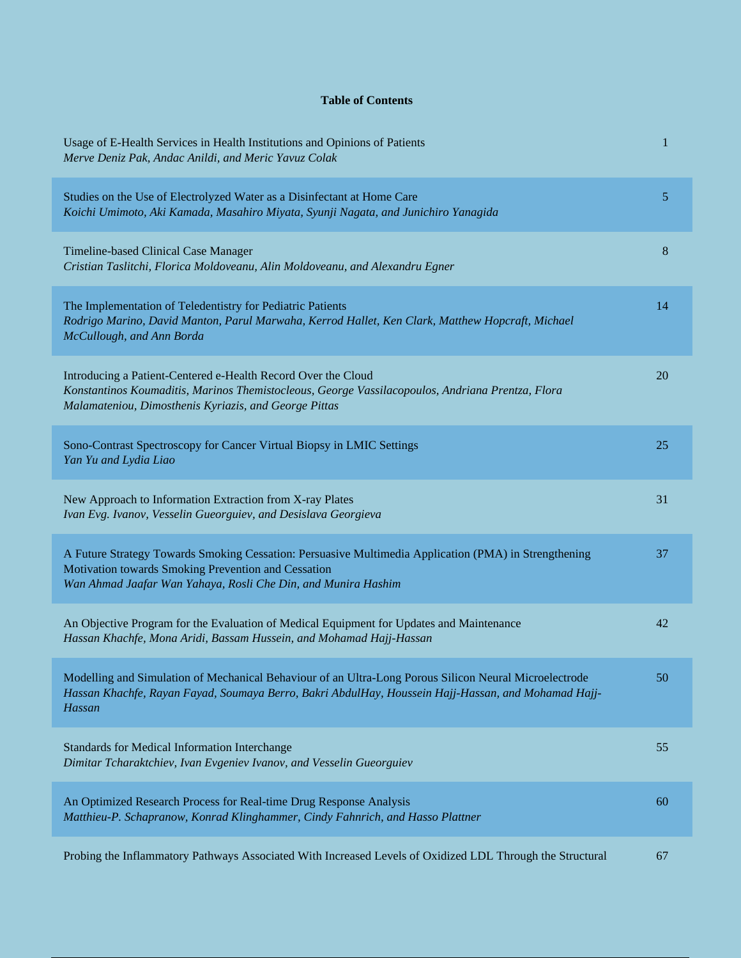## **Table of Contents**

| Usage of E-Health Services in Health Institutions and Opinions of Patients<br>Merve Deniz Pak, Andac Anildi, and Meric Yavuz Colak                                                                                            | 1  |
|-------------------------------------------------------------------------------------------------------------------------------------------------------------------------------------------------------------------------------|----|
| Studies on the Use of Electrolyzed Water as a Disinfectant at Home Care<br>Koichi Umimoto, Aki Kamada, Masahiro Miyata, Syunji Nagata, and Junichiro Yanagida                                                                 | 5  |
| Timeline-based Clinical Case Manager<br>Cristian Taslitchi, Florica Moldoveanu, Alin Moldoveanu, and Alexandru Egner                                                                                                          | 8  |
| The Implementation of Teledentistry for Pediatric Patients<br>Rodrigo Marino, David Manton, Parul Marwaha, Kerrod Hallet, Ken Clark, Matthew Hopcraft, Michael<br>McCullough, and Ann Borda                                   | 14 |
| Introducing a Patient-Centered e-Health Record Over the Cloud<br>Konstantinos Koumaditis, Marinos Themistocleous, George Vassilacopoulos, Andriana Prentza, Flora<br>Malamateniou, Dimosthenis Kyriazis, and George Pittas    | 20 |
| Sono-Contrast Spectroscopy for Cancer Virtual Biopsy in LMIC Settings<br>Yan Yu and Lydia Liao                                                                                                                                | 25 |
| New Approach to Information Extraction from X-ray Plates<br>Ivan Evg. Ivanov, Vesselin Gueorguiev, and Desislava Georgieva                                                                                                    | 31 |
| A Future Strategy Towards Smoking Cessation: Persuasive Multimedia Application (PMA) in Strengthening<br>Motivation towards Smoking Prevention and Cessation<br>Wan Ahmad Jaafar Wan Yahaya, Rosli Che Din, and Munira Hashim | 37 |
| An Objective Program for the Evaluation of Medical Equipment for Updates and Maintenance<br>Hassan Khachfe, Mona Aridi, Bassam Hussein, and Mohamad Hajj-Hassan                                                               | 42 |
| Modelling and Simulation of Mechanical Behaviour of an Ultra-Long Porous Silicon Neural Microelectrode<br>Hassan Khachfe, Rayan Fayad, Soumaya Berro, Bakri AbdulHay, Houssein Hajj-Hassan, and Mohamad Hajj-<br>Hassan       | 50 |
| Standards for Medical Information Interchange<br>Dimitar Tcharaktchiev, Ivan Evgeniev Ivanov, and Vesselin Gueorguiev                                                                                                         | 55 |
| An Optimized Research Process for Real-time Drug Response Analysis<br>Matthieu-P. Schapranow, Konrad Klinghammer, Cindy Fahnrich, and Hasso Plattner                                                                          | 60 |
| Probing the Inflammatory Pathways Associated With Increased Levels of Oxidized LDL Through the Structural                                                                                                                     | 67 |